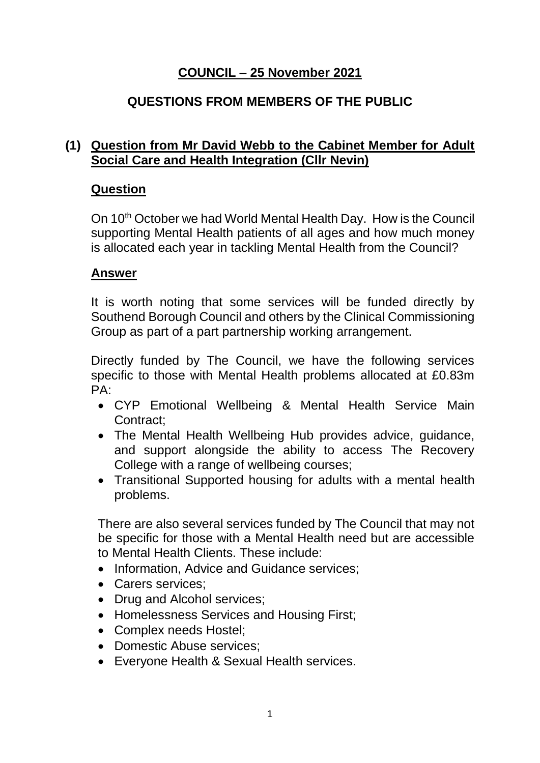# **COUNCIL – 25 November 2021**

# **QUESTIONS FROM MEMBERS OF THE PUBLIC**

## **(1) Question from Mr David Webb to the Cabinet Member for Adult Social Care and Health Integration (Cllr Nevin)**

### **Question**

On 10<sup>th</sup> October we had World Mental Health Day. How is the Council supporting Mental Health patients of all ages and how much money is allocated each year in tackling Mental Health from the Council?

## **Answer**

It is worth noting that some services will be funded directly by Southend Borough Council and others by the Clinical Commissioning Group as part of a part partnership working arrangement.

Directly funded by The Council, we have the following services specific to those with Mental Health problems allocated at £0.83m  $PA.$ 

- CYP Emotional Wellbeing & Mental Health Service Main Contract;
- The Mental Health Wellbeing Hub provides advice, guidance, and support alongside the ability to access The Recovery College with a range of wellbeing courses;
- Transitional Supported housing for adults with a mental health problems.

There are also several services funded by The Council that may not be specific for those with a Mental Health need but are accessible to Mental Health Clients. These include:

- Information, Advice and Guidance services;
- Carers services:
- Drug and Alcohol services:
- Homelessness Services and Housing First;
- Complex needs Hostel;
- Domestic Abuse services:
- Everyone Health & Sexual Health services.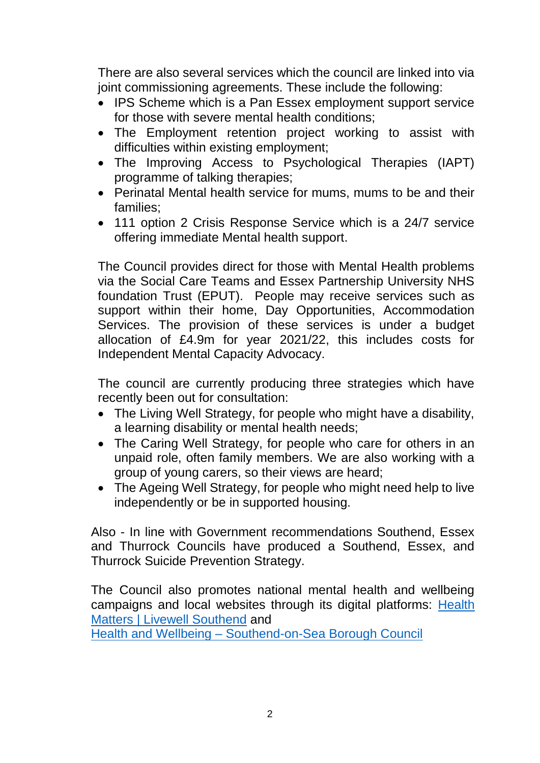There are also several services which the council are linked into via joint commissioning agreements. These include the following:

- IPS Scheme which is a Pan Essex employment support service for those with severe mental health conditions;
- The Employment retention project working to assist with difficulties within existing employment;
- The Improving Access to Psychological Therapies (IAPT) programme of talking therapies;
- Perinatal Mental health service for mums, mums to be and their families;
- 111 option 2 Crisis Response Service which is a 24/7 service offering immediate Mental health support.

The Council provides direct for those with Mental Health problems via the Social Care Teams and Essex Partnership University NHS foundation Trust (EPUT). People may receive services such as support within their home, Day Opportunities, Accommodation Services. The provision of these services is under a budget allocation of £4.9m for year 2021/22, this includes costs for Independent Mental Capacity Advocacy.

The council are currently producing three strategies which have recently been out for consultation:

- The Living Well Strategy, for people who might have a disability, a learning disability or mental health needs;
- The Caring Well Strategy, for people who care for others in an unpaid role, often family members. We are also working with a group of young carers, so their views are heard;
- The Ageing Well Strategy, for people who might need help to live independently or be in supported housing.

Also - In line with Government recommendations Southend, Essex and Thurrock Councils have produced a Southend, Essex, and Thurrock Suicide Prevention Strategy.

The Council also promotes national mental health and wellbeing campaigns and local websites through its digital platforms: [Health](https://livewellsouthend.com/kb5/southendonsea/directory/adult.page?adultschannel=4)  [Matters | Livewell Southend](https://livewellsouthend.com/kb5/southendonsea/directory/adult.page?adultschannel=4) and

Health and Wellbeing – [Southend-on-Sea Borough Council](https://www.southend.gov.uk/health-wellbeing)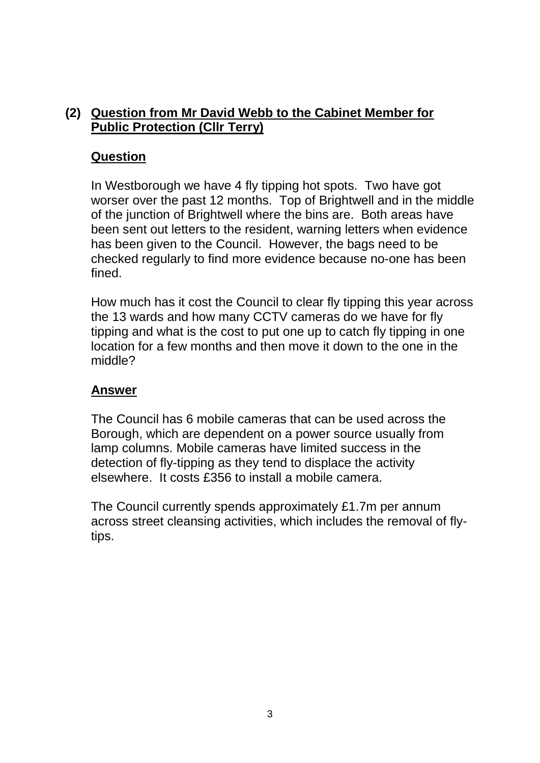# **(2) Question from Mr David Webb to the Cabinet Member for Public Protection (Cllr Terry)**

#### **Question**

In Westborough we have 4 fly tipping hot spots. Two have got worser over the past 12 months. Top of Brightwell and in the middle of the junction of Brightwell where the bins are. Both areas have been sent out letters to the resident, warning letters when evidence has been given to the Council. However, the bags need to be checked regularly to find more evidence because no-one has been fined.

How much has it cost the Council to clear fly tipping this year across the 13 wards and how many CCTV cameras do we have for fly tipping and what is the cost to put one up to catch fly tipping in one location for a few months and then move it down to the one in the middle?

#### **Answer**

The Council has 6 mobile cameras that can be used across the Borough, which are dependent on a power source usually from lamp columns. Mobile cameras have limited success in the detection of fly-tipping as they tend to displace the activity elsewhere. It costs £356 to install a mobile camera.

The Council currently spends approximately £1.7m per annum across street cleansing activities, which includes the removal of flytips.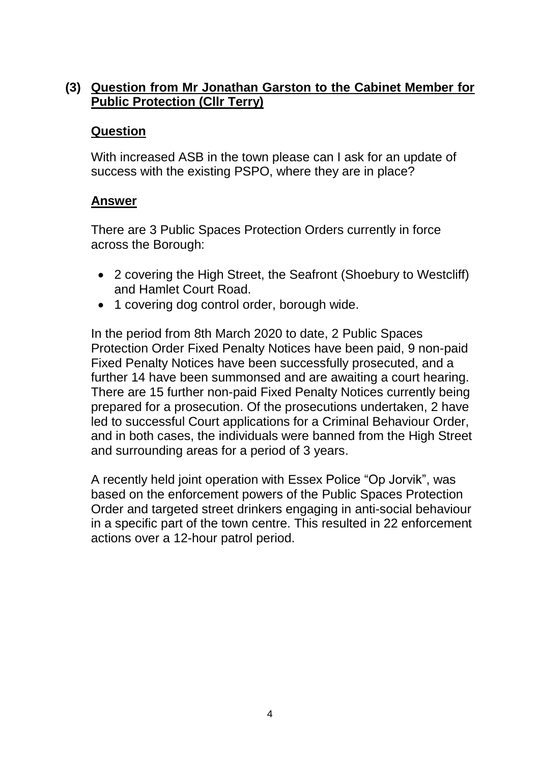## **(3) Question from Mr Jonathan Garston to the Cabinet Member for Public Protection (Cllr Terry)**

#### **Question**

With increased ASB in the town please can I ask for an update of success with the existing PSPO, where they are in place?

#### **Answer**

There are 3 Public Spaces Protection Orders currently in force across the Borough:

- 2 covering the High Street, the Seafront (Shoebury to Westcliff) and Hamlet Court Road.
- 1 covering dog control order, borough wide.

In the period from 8th March 2020 to date, 2 Public Spaces Protection Order Fixed Penalty Notices have been paid, 9 non-paid Fixed Penalty Notices have been successfully prosecuted, and a further 14 have been summonsed and are awaiting a court hearing. There are 15 further non-paid Fixed Penalty Notices currently being prepared for a prosecution. Of the prosecutions undertaken, 2 have led to successful Court applications for a Criminal Behaviour Order, and in both cases, the individuals were banned from the High Street and surrounding areas for a period of 3 years.

A recently held joint operation with Essex Police "Op Jorvik", was based on the enforcement powers of the Public Spaces Protection Order and targeted street drinkers engaging in anti-social behaviour in a specific part of the town centre. This resulted in 22 enforcement actions over a 12-hour patrol period.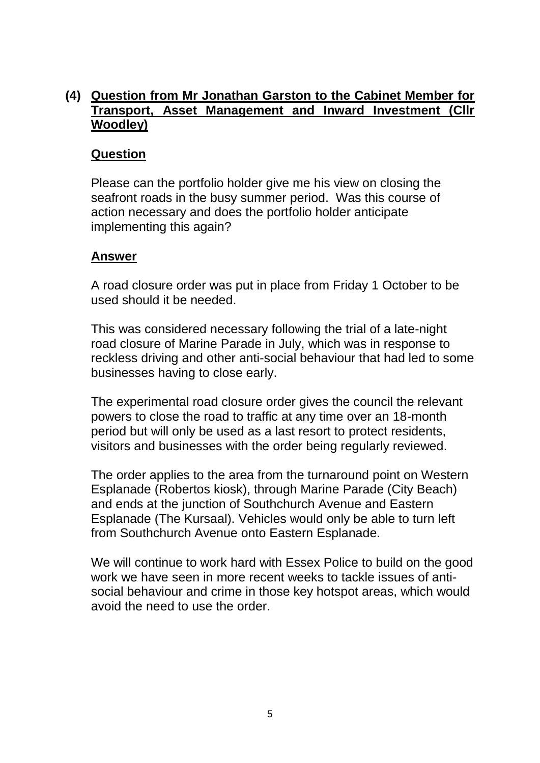## **(4) Question from Mr Jonathan Garston to the Cabinet Member for Transport, Asset Management and Inward Investment (Cllr Woodley)**

#### **Question**

Please can the portfolio holder give me his view on closing the seafront roads in the busy summer period. Was this course of action necessary and does the portfolio holder anticipate implementing this again?

#### **Answer**

A road closure order was put in place from Friday 1 October to be used should it be needed.

This was considered necessary following the trial of a late-night road closure of Marine Parade in July, which was in response to reckless driving and other anti-social behaviour that had led to some businesses having to close early.

The experimental road closure order gives the council the relevant powers to close the road to traffic at any time over an 18-month period but will only be used as a last resort to protect residents, visitors and businesses with the order being regularly reviewed.

The order applies to the area from the turnaround point on Western Esplanade (Robertos kiosk), through Marine Parade (City Beach) and ends at the junction of Southchurch Avenue and Eastern Esplanade (The Kursaal). Vehicles would only be able to turn left from Southchurch Avenue onto Eastern Esplanade.

We will continue to work hard with Essex Police to build on the good work we have seen in more recent weeks to tackle issues of antisocial behaviour and crime in those key hotspot areas, which would avoid the need to use the order.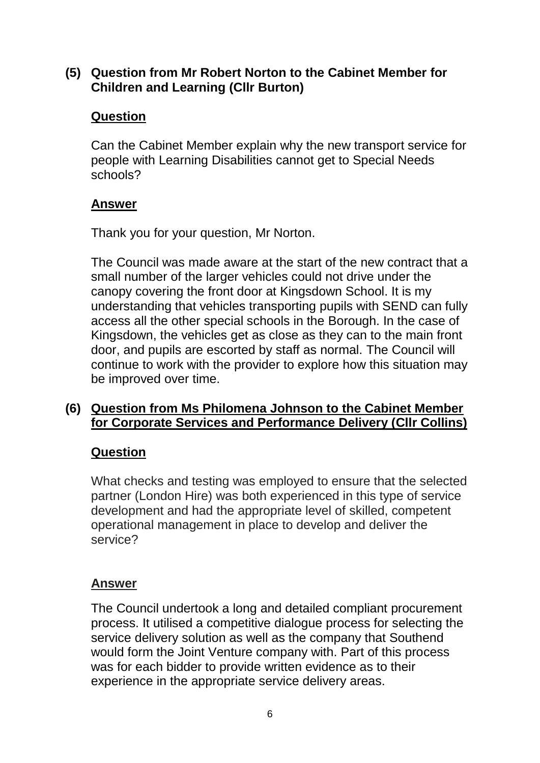## **(5) Question from Mr Robert Norton to the Cabinet Member for Children and Learning (Cllr Burton)**

## **Question**

Can the Cabinet Member explain why the new transport service for people with Learning Disabilities cannot get to Special Needs schools?

## **Answer**

Thank you for your question, Mr Norton.

The Council was made aware at the start of the new contract that a small number of the larger vehicles could not drive under the canopy covering the front door at Kingsdown School. It is my understanding that vehicles transporting pupils with SEND can fully access all the other special schools in the Borough. In the case of Kingsdown, the vehicles get as close as they can to the main front door, and pupils are escorted by staff as normal. The Council will continue to work with the provider to explore how this situation may be improved over time.

## **(6) Question from Ms Philomena Johnson to the Cabinet Member for Corporate Services and Performance Delivery (Cllr Collins)**

# **Question**

What checks and testing was employed to ensure that the selected partner (London Hire) was both experienced in this type of service development and had the appropriate level of skilled, competent operational management in place to develop and deliver the service?

# **Answer**

The Council undertook a long and detailed compliant procurement process. It utilised a competitive dialogue process for selecting the service delivery solution as well as the company that Southend would form the Joint Venture company with. Part of this process was for each bidder to provide written evidence as to their experience in the appropriate service delivery areas.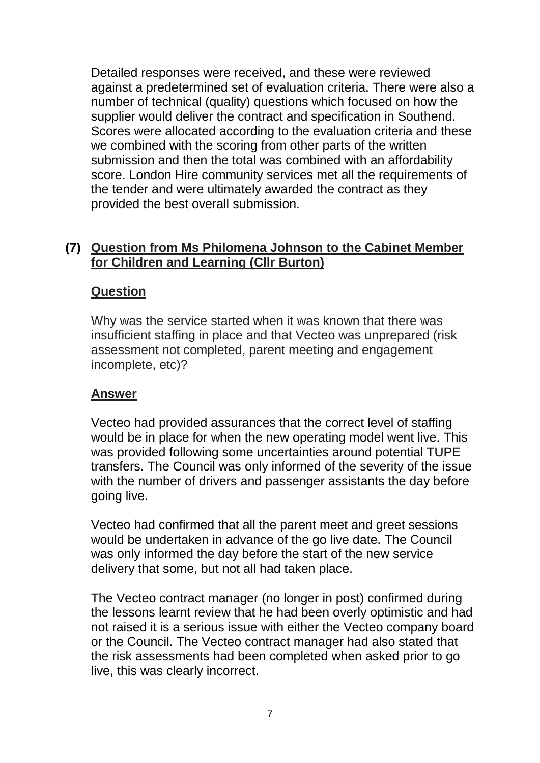Detailed responses were received, and these were reviewed against a predetermined set of evaluation criteria. There were also a number of technical (quality) questions which focused on how the supplier would deliver the contract and specification in Southend. Scores were allocated according to the evaluation criteria and these we combined with the scoring from other parts of the written submission and then the total was combined with an affordability score. London Hire community services met all the requirements of the tender and were ultimately awarded the contract as they provided the best overall submission.

### **(7) Question from Ms Philomena Johnson to the Cabinet Member for Children and Learning (Cllr Burton)**

### **Question**

Why was the service started when it was known that there was insufficient staffing in place and that Vecteo was unprepared (risk assessment not completed, parent meeting and engagement incomplete, etc)?

### **Answer**

Vecteo had provided assurances that the correct level of staffing would be in place for when the new operating model went live. This was provided following some uncertainties around potential TUPE transfers. The Council was only informed of the severity of the issue with the number of drivers and passenger assistants the day before going live.

Vecteo had confirmed that all the parent meet and greet sessions would be undertaken in advance of the go live date. The Council was only informed the day before the start of the new service delivery that some, but not all had taken place.

The Vecteo contract manager (no longer in post) confirmed during the lessons learnt review that he had been overly optimistic and had not raised it is a serious issue with either the Vecteo company board or the Council. The Vecteo contract manager had also stated that the risk assessments had been completed when asked prior to go live, this was clearly incorrect.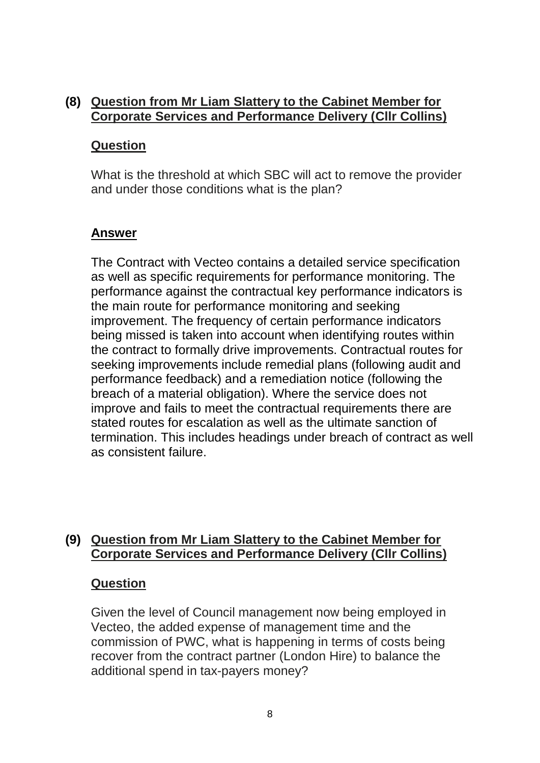## **(8) Question from Mr Liam Slattery to the Cabinet Member for Corporate Services and Performance Delivery (Cllr Collins)**

#### **Question**

What is the threshold at which SBC will act to remove the provider and under those conditions what is the plan?

#### **Answer**

The Contract with Vecteo contains a detailed service specification as well as specific requirements for performance monitoring. The performance against the contractual key performance indicators is the main route for performance monitoring and seeking improvement. The frequency of certain performance indicators being missed is taken into account when identifying routes within the contract to formally drive improvements. Contractual routes for seeking improvements include remedial plans (following audit and performance feedback) and a remediation notice (following the breach of a material obligation). Where the service does not improve and fails to meet the contractual requirements there are stated routes for escalation as well as the ultimate sanction of termination. This includes headings under breach of contract as well as consistent failure.

### **(9) Question from Mr Liam Slattery to the Cabinet Member for Corporate Services and Performance Delivery (Cllr Collins)**

#### **Question**

Given the level of Council management now being employed in Vecteo, the added expense of management time and the commission of PWC, what is happening in terms of costs being recover from the contract partner (London Hire) to balance the additional spend in tax-payers money?